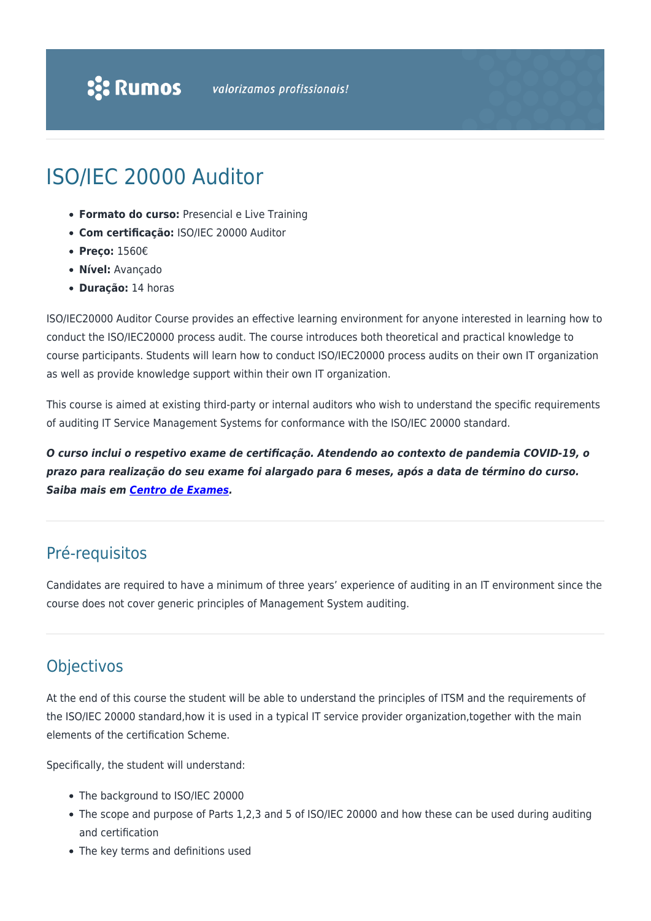## ISO/IEC 20000 Auditor

- **Formato do curso:** Presencial e Live Training
- **Com certificação:** ISO/IEC 20000 Auditor
- **Preço:** 1560€
- **Nível:** Avançado
- **Duração:** 14 horas

ISO/IEC20000 Auditor Course provides an effective learning environment for anyone interested in learning how to conduct the ISO/IEC20000 process audit. The course introduces both theoretical and practical knowledge to course participants. Students will learn how to conduct ISO/IEC20000 process audits on their own IT organization as well as provide knowledge support within their own IT organization.

This course is aimed at existing third-party or internal auditors who wish to understand the specific requirements of auditing IT Service Management Systems for conformance with the ISO/IEC 20000 standard.

*O curso inclui o respetivo exame de certificação. Atendendo ao contexto de pandemia COVID-19, o prazo para realização do seu exame foi alargado para 6 meses, após a data de término do curso. Saiba mais em [Centro de Exames](https://rumos.pt/formacao/centro-de-exames-de-certificacao/#prazos).*

## Pré-requisitos

Candidates are required to have a minimum of three years' experience of auditing in an IT environment since the course does not cover generic principles of Management System auditing.

## **Objectivos**

At the end of this course the student will be able to understand the principles of ITSM and the requirements of the ISO/IEC 20000 standard,how it is used in a typical IT service provider organization,together with the main elements of the certification Scheme.

Specifically, the student will understand:

- The background to ISO/IEC 20000
- The scope and purpose of Parts 1,2,3 and 5 of ISO/IEC 20000 and how these can be used during auditing and certification
- The key terms and definitions used